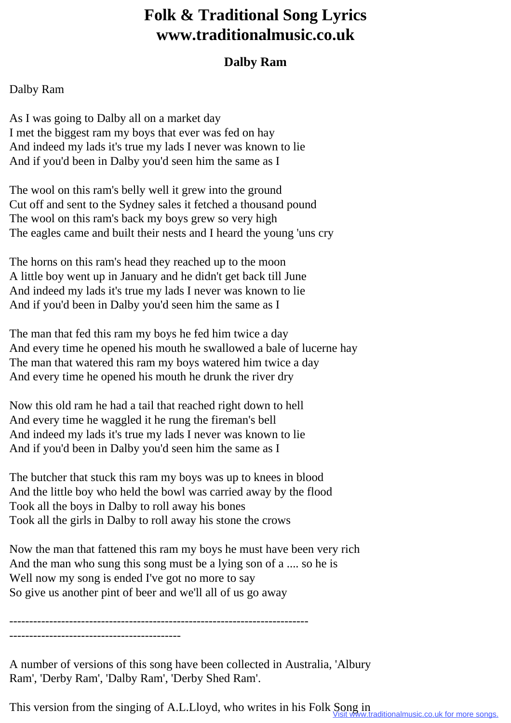## **Folk & Traditional Song Lyrics www.traditionalmusic.co.uk**

## **Dalby Ram**

## Dalby Ram

As I was going to Dalby all on a market day I met the biggest ram my boys that ever was fed on hay And indeed my lads it's true my lads I never was known to lie And if you'd been in Dalby you'd seen him the same as I

The wool on this ram's belly well it grew into the ground Cut off and sent to the Sydney sales it fetched a thousand pound The wool on this ram's back my boys grew so very high The eagles came and built their nests and I heard the young 'uns cry

The horns on this ram's head they reached up to the moon A little boy went up in January and he didn't get back till June And indeed my lads it's true my lads I never was known to lie And if you'd been in Dalby you'd seen him the same as I

The man that fed this ram my boys he fed him twice a day And every time he opened his mouth he swallowed a bale of lucerne hay The man that watered this ram my boys watered him twice a day And every time he opened his mouth he drunk the river dry

Now this old ram he had a tail that reached right down to hell And every time he waggled it he rung the fireman's bell And indeed my lads it's true my lads I never was known to lie And if you'd been in Dalby you'd seen him the same as I

The butcher that stuck this ram my boys was up to knees in blood And the little boy who held the bowl was carried away by the flood Took all the boys in Dalby to roll away his bones Took all the girls in Dalby to roll away his stone the crows

Now the man that fattened this ram my boys he must have been very rich And the man who sung this song must be a lying son of a .... so he is Well now my song is ended I've got no more to say So give us another pint of beer and we'll all of us go away

--------------------------------------------------------------------------- -------------------------------------------

A number of versions of this song have been collected in Australia, 'Albury Ram', 'Derby Ram', 'Dalby Ram', 'Derby Shed Ram'.

This version from the singing of A.L.Lloyd, who writes in his Folk Song in<br>Visit www.traditionalmusic.co.uk for more songs.